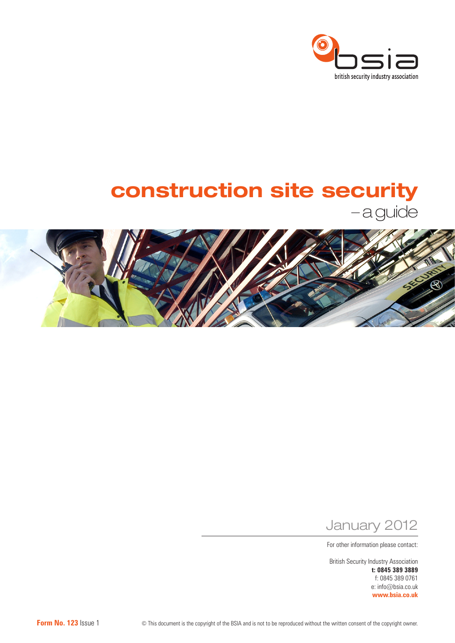

# construction site security

– a guide



January 2012

For other information please contact:

British Security Industry Association **t: 0845 389 3889** f: 0845 389 0761 e: info@bsia.co.uk **www.bsia.co.uk**

**Form No. 123** Issue 1 <sup>©</sup> This document is the copyright of the BSIA and is not to be reproduced without the written consent of the copyright owner.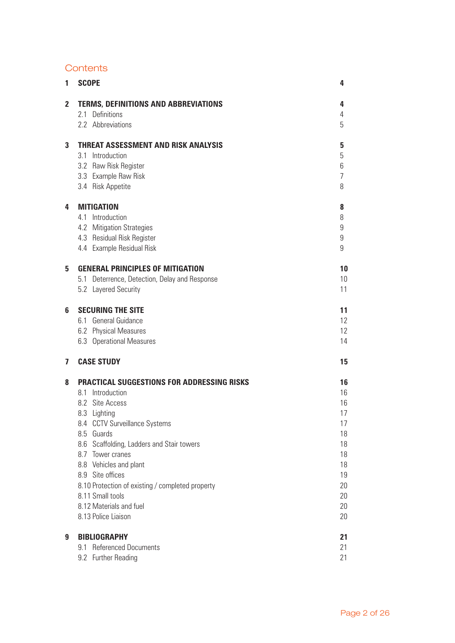# **Contents**

| 1                       | <b>SCOPE</b>                                                  | 4                |
|-------------------------|---------------------------------------------------------------|------------------|
| $\overline{\mathbf{2}}$ | <b>TERMS, DEFINITIONS AND ABBREVIATIONS</b>                   | 4                |
|                         | 2.1 Definitions                                               | 4                |
|                         | 2.2 Abbreviations                                             | 5                |
| 3                       | <b>THREAT ASSESSMENT AND RISK ANALYSIS</b>                    | 5                |
|                         | 3.1 Introduction                                              | 5                |
|                         | 3.2 Raw Risk Register                                         | 6                |
|                         | 3.3 Example Raw Risk                                          | $\overline{7}$   |
|                         | 3.4 Risk Appetite                                             | 8                |
| 4                       | <b>MITIGATION</b>                                             | 8                |
|                         | 4.1 Introduction                                              | 8                |
|                         | 4.2 Mitigation Strategies                                     | $\boldsymbol{9}$ |
|                         | 4.3 Residual Risk Register                                    | 9                |
|                         | 4.4 Example Residual Risk                                     | 9                |
| 5                       | <b>GENERAL PRINCIPLES OF MITIGATION</b>                       | 10               |
|                         | 5.1 Deterrence, Detection, Delay and Response                 | 10               |
|                         | 5.2 Layered Security                                          | 11               |
| 6                       | <b>SECURING THE SITE</b>                                      | 11               |
|                         | 6.1 General Guidance                                          | 12               |
|                         | 6.2 Physical Measures                                         | 12               |
|                         | 6.3 Operational Measures                                      | 14               |
| $\overline{\mathbf{z}}$ | <b>CASE STUDY</b>                                             | 15               |
| 8                       | <b>PRACTICAL SUGGESTIONS FOR ADDRESSING RISKS</b>             | 16               |
|                         | 8.1 Introduction                                              | 16               |
|                         | 8.2 Site Access                                               | 16               |
|                         | 8.3 Lighting                                                  | 17               |
|                         | 8.4 CCTV Surveillance Systems                                 | 17               |
|                         | 8.5 Guards                                                    | 18               |
|                         | 8.6 Scaffolding, Ladders and Stair towers<br>8.7 Tower cranes | 18<br>18         |
|                         | 8.8 Vehicles and plant                                        | 18               |
|                         | 8.9 Site offices                                              | 19               |
|                         | 8.10 Protection of existing / completed property              | 20               |
|                         | 8.11 Small tools                                              | 20               |
|                         | 8.12 Materials and fuel                                       | 20               |
|                         | 8.13 Police Liaison                                           | 20               |
| 9                       | <b>BIBLIOGRAPHY</b>                                           | 21               |
|                         | 9.1 Referenced Documents                                      | 21               |
|                         | 9.2 Further Reading                                           | 21               |
|                         |                                                               |                  |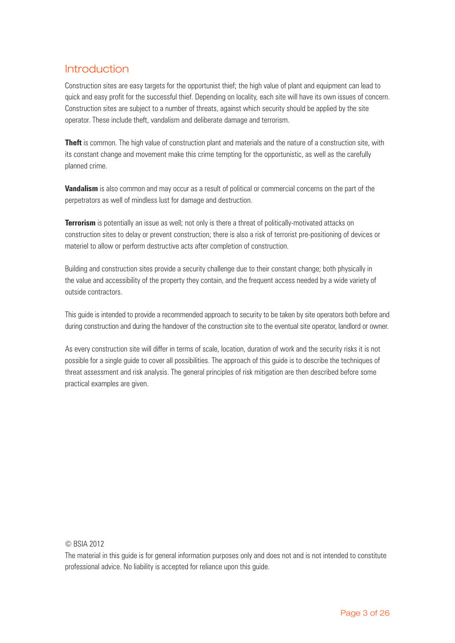# **Introduction**

Construction sites are easy targets for the opportunist thief; the high value of plant and equipment can lead to quick and easy profit for the successful thief. Depending on locality, each site will have its own issues of concern. Construction sites are subject to a number of threats, against which security should be applied by the site operator. These include theft, vandalism and deliberate damage and terrorism.

**Theft** is common. The high value of construction plant and materials and the nature of a construction site, with its constant change and movement make this crime tempting for the opportunistic, as well as the carefully planned crime.

**Vandalism** is also common and may occur as a result of political or commercial concerns on the part of the perpetrators as well of mindless lust for damage and destruction.

**Terrorism** is potentially an issue as well; not only is there a threat of politically-motivated attacks on construction sites to delay or prevent construction; there is also a risk of terrorist pre-positioning of devices or materiel to allow or perform destructive acts after completion of construction.

Building and construction sites provide a security challenge due to their constant change; both physically in the value and accessibility of the property they contain, and the frequent access needed by a wide variety of outside contractors.

This guide is intended to provide a recommended approach to security to be taken by site operators both before and during construction and during the handover of the construction site to the eventual site operator, landlord or owner.

As every construction site will differ in terms of scale, location, duration of work and the security risks it is not possible for a single guide to cover all possibilities. The approach of this guide is to describe the techniques of threat assessment and risk analysis. The general principles of risk mitigation are then described before some practical examples are given.

© BSIA 2012

The material in this guide is for general information purposes only and does not and is not intended to constitute professional advice. No liability is accepted for reliance upon this guide.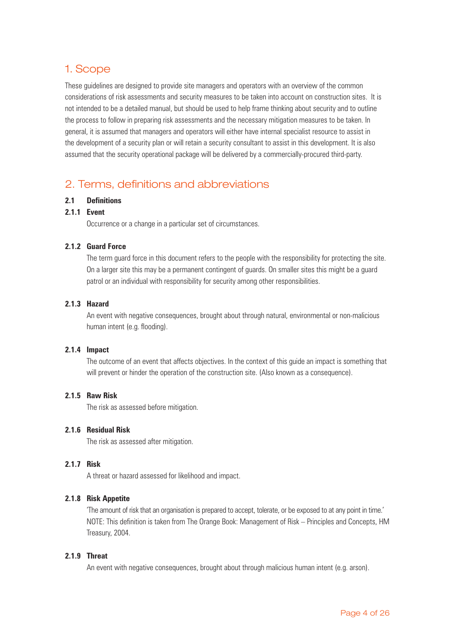# 1. Scope

These guidelines are designed to provide site managers and operators with an overview of the common considerations of risk assessments and security measures to be taken into account on construction sites. It is not intended to be a detailed manual, but should be used to help frame thinking about security and to outline the process to follow in preparing risk assessments and the necessary mitigation measures to be taken. In general, it is assumed that managers and operators will either have internal specialist resource to assist in the development of a security plan or will retain a security consultant to assist in this development. It is also assumed that the security operational package will be delivered by a commercially-procured third-party.

# 2. Terms, definitions and abbreviations

### **2.1 Definitions**

### **2.1.1 Event**

Occurrence or a change in a particular set of circumstances.

### **2.1.2 Guard Force**

The term guard force in this document refers to the people with the responsibility for protecting the site. On a larger site this may be a permanent contingent of guards. On smaller sites this might be a guard patrol or an individual with responsibility for security among other responsibilities.

### **2.1.3 Hazard**

An event with negative consequences, brought about through natural, environmental or non-malicious human intent (e.g. flooding).

### **2.1.4 Impact**

The outcome of an event that affects objectives. In the context of this guide an impact is something that will prevent or hinder the operation of the construction site. (Also known as a consequence).

### **2.1.5 Raw Risk**

The risk as assessed before mitigation.

### **2.1.6 Residual Risk**

The risk as assessed after mitigation.

### **2.1.7 Risk**

A threat or hazard assessed for likelihood and impact.

### **2.1.8 Risk Appetite**

'The amount of risk that an organisation is prepared to accept, tolerate, or be exposed to at any point in time.' NOTE: This definition is taken from The Orange Book: Management of Risk – Principles and Concepts, HM Treasury, 2004.

### **2.1.9 Threat**

An event with negative consequences, brought about through malicious human intent (e.g. arson).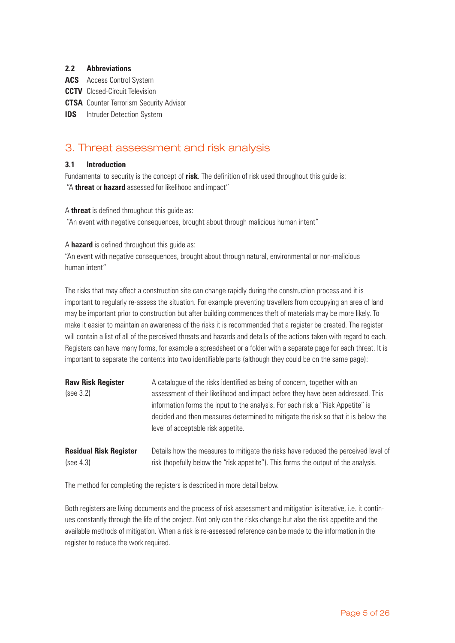### **2.2 Abbreviations**

- **ACS** Access Control System
- **CCTV** Closed-Circuit Television
- **CTSA** Counter Terrorism Security Advisor
- **IDS** Intruder Detection System

# 3. Threat assessment and risk analysis

### **3.1 Introduction**

Fundamental to security is the concept of **risk**. The definition of risk used throughout this guide is: "A **threat** or **hazard** assessed for likelihood and impact"

A **threat** is defined throughout this guide as:

"An event with negative consequences, brought about through malicious human intent"

A **hazard** is defined throughout this guide as:

"An event with negative consequences, brought about through natural, environmental or non-malicious human intent"

The risks that may affect a construction site can change rapidly during the construction process and it is important to regularly re-assess the situation. For example preventing travellers from occupying an area of land may be important prior to construction but after building commences theft of materials may be more likely. To make it easier to maintain an awareness of the risks it is recommended that a register be created. The register will contain a list of all of the perceived threats and hazards and details of the actions taken with regard to each. Registers can have many forms, for example a spreadsheet or a folder with a separate page for each threat. It is important to separate the contents into two identifiable parts (although they could be on the same page):

| <b>Raw Risk Register</b><br>(see 3.2) | A catalogue of the risks identified as being of concern, together with an<br>assessment of their likelihood and impact before they have been addressed. This<br>information forms the input to the analysis. For each risk a "Risk Appetite" is<br>decided and then measures determined to mitigate the risk so that it is below the<br>level of acceptable risk appetite. |  |  |  |
|---------------------------------------|----------------------------------------------------------------------------------------------------------------------------------------------------------------------------------------------------------------------------------------------------------------------------------------------------------------------------------------------------------------------------|--|--|--|
| <b>Residual Risk Register</b>         | Details how the measures to mitigate the risks have reduced the perceived level of                                                                                                                                                                                                                                                                                         |  |  |  |
| (see 4.3)                             | risk (hopefully below the "risk appetite"). This forms the output of the analysis.                                                                                                                                                                                                                                                                                         |  |  |  |

The method for completing the registers is described in more detail below.

Both registers are living documents and the process of risk assessment and mitigation is iterative, i.e. it continues constantly through the life of the project. Not only can the risks change but also the risk appetite and the available methods of mitigation. When a risk is re-assessed reference can be made to the information in the register to reduce the work required.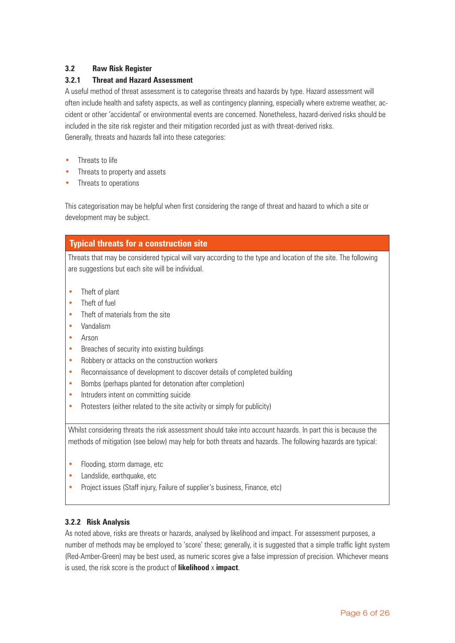# **3.2 Raw Risk Register**

### **3.2.1 Threat and Hazard Assessment**

A useful method of threat assessment is to categorise threats and hazards by type. Hazard assessment will often include health and safety aspects, as well as contingency planning, especially where extreme weather, accident or other 'accidental' or environmental events are concerned. Nonetheless, hazard-derived risks should be included in the site risk register and their mitigation recorded just as with threat-derived risks. Generally, threats and hazards fall into these categories:

- Threats to life
- Threats to property and assets
- Threats to operations

This categorisation may be helpful when first considering the range of threat and hazard to which a site or development may be subject.

# **Typical threats for a construction site**

Threats that may be considered typical will vary according to the type and location of the site. The following are suggestions but each site will be individual.

- Theft of plant
- Theft of fuel
- Theft of materials from the site
- Vandalism
- Arson
- Breaches of security into existing buildings
- Robbery or attacks on the construction workers
- Reconnaissance of development to discover details of completed building
- Bombs (perhaps planted for detonation after completion)
- Intruders intent on committing suicide
- Protesters (either related to the site activity or simply for publicity)

Whilst considering threats the risk assessment should take into account hazards. In part this is because the methods of mitigation (see below) may help for both threats and hazards. The following hazards are typical:

- Flooding, storm damage, etc
- Landslide, earthquake, etc
- Project issues (Staff injury, Failure of supplier's business, Finance, etc)

# **3.2.2 Risk Analysis**

As noted above, risks are threats or hazards, analysed by likelihood and impact. For assessment purposes, a number of methods may be employed to 'score' these; generally, it is suggested that a simple traffic light system (Red-Amber-Green) may be best used, as numeric scores give a false impression of precision. Whichever means is used, the risk score is the product of **likelihood** x **impact**.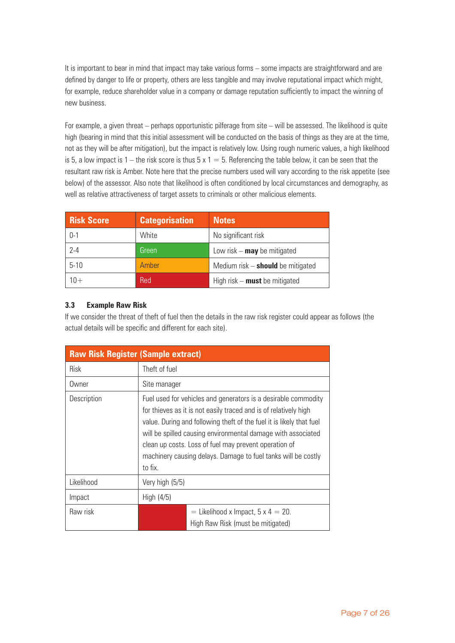It is important to bear in mind that impact may take various forms – some impacts are straightforward and are defined by danger to life or property, others are less tangible and may involve reputational impact which might, for example, reduce shareholder value in a company or damage reputation sufficiently to impact the winning of new business.

For example, a given threat – perhaps opportunistic pilferage from site – will be assessed. The likelihood is quite high (bearing in mind that this initial assessment will be conducted on the basis of things as they are at the time, not as they will be after mitigation), but the impact is relatively low. Using rough numeric values, a high likelihood is 5, a low impact is 1 – the risk score is thus  $5 \times 1 = 5$ . Referencing the table below, it can be seen that the resultant raw risk is Amber. Note here that the precise numbers used will vary according to the risk appetite (see below) of the assessor. Also note that likelihood is often conditioned by local circumstances and demography, as well as relative attractiveness of target assets to criminals or other malicious elements.

| <b>Risk Score</b> | <b>Categorisation</b> | <b>Notes</b>                        |
|-------------------|-----------------------|-------------------------------------|
| $0 - 1$           | White                 | No significant risk                 |
| $2 - 4$           | Green                 | Low risk $-$ may be mitigated       |
| $5-10$            | Amber                 | Medium risk $-$ should be mitigated |
| $10+$             | Red                   | High risk $-$ must be mitigated     |

# **3.3 Example Raw Risk**

If we consider the threat of theft of fuel then the details in the raw risk register could appear as follows (the actual details will be specific and different for each site).

| <b>Raw Risk Register (Sample extract)</b> |                                                                                                                                                                                                                                                                                                                                                                                                                 |  |  |  |  |
|-------------------------------------------|-----------------------------------------------------------------------------------------------------------------------------------------------------------------------------------------------------------------------------------------------------------------------------------------------------------------------------------------------------------------------------------------------------------------|--|--|--|--|
| <b>Risk</b>                               | Theft of fuel                                                                                                                                                                                                                                                                                                                                                                                                   |  |  |  |  |
| Owner                                     | Site manager                                                                                                                                                                                                                                                                                                                                                                                                    |  |  |  |  |
| Description                               | Fuel used for vehicles and generators is a desirable commodity<br>for thieves as it is not easily traced and is of relatively high<br>value. During and following theft of the fuel it is likely that fuel<br>will be spilled causing environmental damage with associated<br>clean up costs. Loss of fuel may prevent operation of<br>machinery causing delays. Damage to fuel tanks will be costly<br>to fix. |  |  |  |  |
| Likelihood                                | Very high (5/5)                                                                                                                                                                                                                                                                                                                                                                                                 |  |  |  |  |
| Impact                                    | High $(4/5)$                                                                                                                                                                                                                                                                                                                                                                                                    |  |  |  |  |
| Raw risk                                  | = Likelihood x Impact, $5 \times 4 = 20$ .<br>High Raw Risk (must be mitigated)                                                                                                                                                                                                                                                                                                                                 |  |  |  |  |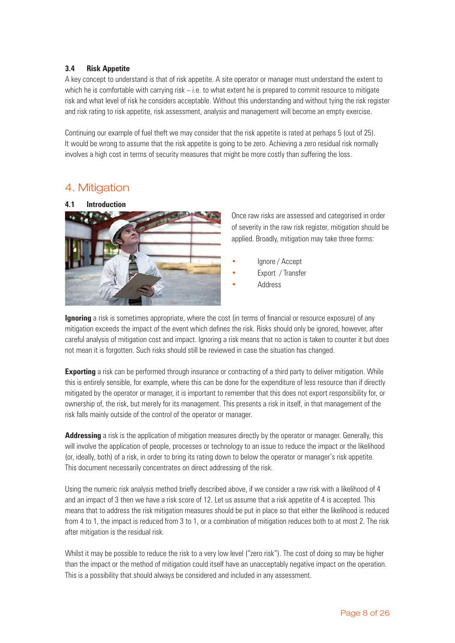### **3.4 Risk Appetite**

A key concept to understand is that of risk appetite. A site operator or manager must understand the extent to which he is comfortable with carrying risk – i.e. to what extent he is prepared to commit resource to mitigate risk and what level of risk he considers acceptable. Without this understanding and without tying the risk register and risk rating to risk appetite, risk assessment, analysis and management will become an empty exercise.

Continuing our example of fuel theft we may consider that the risk appetite is rated at perhaps 5 (out of 25). It would be wrong to assume that the risk appetite is going to be zero. Achieving a zero residual risk normally involves a high cost in terms of security measures that might be more costly than suffering the loss.

# 4. Mitigation



Once raw risks are assessed and categorised in order of severity in the raw risk register, mitigation should be applied. Broadly, mitigation may take three forms:

- Ignore / Accept
- Export / Transfer
- **Address**

**Ignoring** a risk is sometimes appropriate, where the cost (in terms of financial or resource exposure) of any mitigation exceeds the impact of the event which defines the risk. Risks should only be ignored, however, after careful analysis of mitigation cost and impact. Ignoring a risk means that no action is taken to counter it but does not mean it is forgotten. Such risks should still be reviewed in case the situation has changed.

**Exporting** a risk can be performed through insurance or contracting of a third party to deliver mitigation. While this is entirely sensible, for example, where this can be done for the expenditure of less resource than if directly mitigated by the operator or manager, it is important to remember that this does not export responsibility for, or ownership of, the risk, but merely for its management. This presents a risk in itself, in that management of the risk falls mainly outside of the control of the operator or manager.

**Addressing** a risk is the application of mitigation measures directly by the operator or manager. Generally, this will involve the application of people, processes or technology to an issue to reduce the impact or the likelihood (or, ideally, both) of a risk, in order to bring its rating down to below the operator or manager's risk appetite. This document necessarily concentrates on direct addressing of the risk.

Using the numeric risk analysis method briefly described above, if we consider a raw risk with a likelihood of 4 and an impact of 3 then we have a risk score of 12. Let us assume that a risk appetite of 4 is accepted. This means that to address the risk mitigation measures should be put in place so that either the likelihood is reduced from 4 to 1, the impact is reduced from 3 to 1, or a combination of mitigation reduces both to at most 2. The risk after mitigation is the residual risk.

Whilst it may be possible to reduce the risk to a very low level ("zero risk"). The cost of doing so may be higher than the impact or the method of mitigation could itself have an unacceptably negative impact on the operation. This is a possibility that should always be considered and included in any assessment.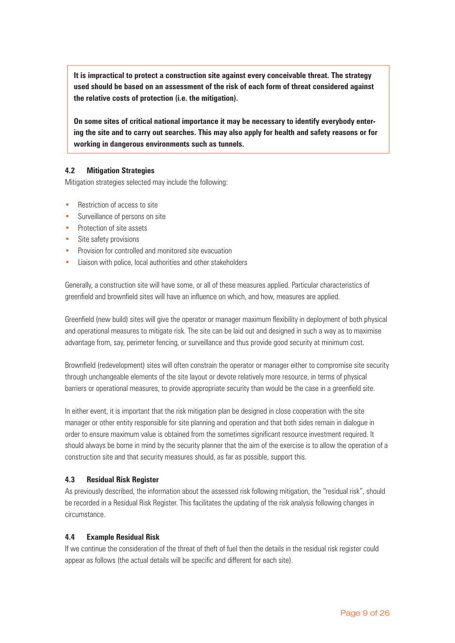**It is impractical to protect a construction site against every conceivable threat. The strategy used should be based on an assessment of the risk of each form of threat considered against the relative costs of protection (i.e. the mitigation).**

**On some sites of critical national importance it may be necessary to identify everybody entering the site and to carry out searches. This may also apply for health and safety reasons or for working in dangerous environments such as tunnels.**

### **4.2 Mitigation Strategies**

Mitigation strategies selected may include the following:

- Restriction of access to site
- Surveillance of persons on site
- Protection of site assets
- Site safety provisions
- Provision for controlled and monitored site evacuation
- Liaison with police, local authorities and other stakeholders

Generally, a construction site will have some, or all of these measures applied. Particular characteristics of greenfield and brownfield sites will have an influence on which, and how, measures are applied.

Greenfield (new build) sites will give the operator or manager maximum flexibility in deployment of both physical and operational measures to mitigate risk. The site can be laid out and designed in such a way as to maximise advantage from, say, perimeter fencing, or surveillance and thus provide good security at minimum cost.

Brownfield (redevelopment) sites will often constrain the operator or manager either to compromise site security through unchangeable elements of the site layout or devote relatively more resource, in terms of physical barriers or operational measures, to provide appropriate security than would be the case in a greenfield site.

In either event, it is important that the risk mitigation plan be designed in close cooperation with the site manager or other entity responsible for site planning and operation and that both sides remain in dialogue in order to ensure maximum value is obtained from the sometimes significant resource investment required. It should always be borne in mind by the security planner that the aim of the exercise is to allow the operation of a construction site and that security measures should, as far as possible, support this.

### **4.3 Residual Risk Register**

As previously described, the information about the assessed risk following mitigation, the "residual risk", should be recorded in a Residual Risk Register. This facilitates the updating of the risk analysis following changes in circumstance.

### **4.4 Example Residual Risk**

If we continue the consideration of the threat of theft of fuel then the details in the residual risk register could appear as follows (the actual details will be specific and different for each site).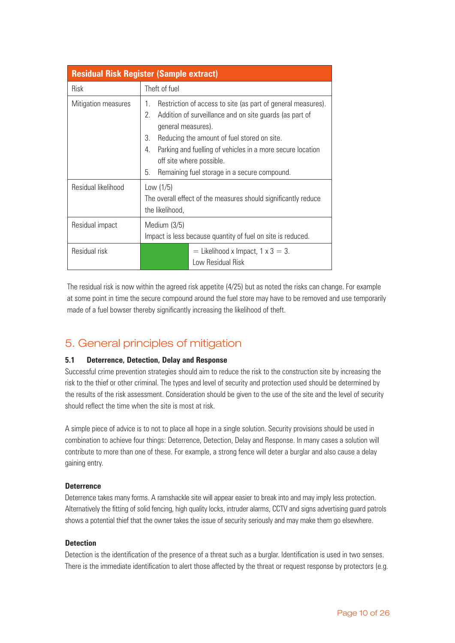| <b>Residual Risk Register (Sample extract)</b> |                                                                                                                                                                                                                                                                                                                                                                      |  |  |  |  |
|------------------------------------------------|----------------------------------------------------------------------------------------------------------------------------------------------------------------------------------------------------------------------------------------------------------------------------------------------------------------------------------------------------------------------|--|--|--|--|
| Risk                                           | Theft of fuel                                                                                                                                                                                                                                                                                                                                                        |  |  |  |  |
| Mitigation measures                            | Restriction of access to site (as part of general measures).<br>1.<br>Addition of surveillance and on site guards (as part of<br>2.<br>general measures).<br>3.<br>Reducing the amount of fuel stored on site.<br>Parking and fuelling of vehicles in a more secure location<br>4.<br>off site where possible.<br>Remaining fuel storage in a secure compound.<br>5. |  |  |  |  |
| Residual likelihood                            | Low $(1/5)$<br>The overall effect of the measures should significantly reduce<br>the likelihood,                                                                                                                                                                                                                                                                     |  |  |  |  |
| Residual impact                                | Medium (3/5)<br>Impact is less because quantity of fuel on site is reduced.                                                                                                                                                                                                                                                                                          |  |  |  |  |
| Residual risk                                  | $=$ Likelihood x Impact, 1 x 3 = 3.<br>Low Residual Risk                                                                                                                                                                                                                                                                                                             |  |  |  |  |

The residual risk is now within the agreed risk appetite (4/25) but as noted the risks can change. For example at some point in time the secure compound around the fuel store may have to be removed and use temporarily made of a fuel bowser thereby significantly increasing the likelihood of theft.

# 5. General principles of mitigation

# **5.1 Deterrence, Detection, Delay and Response**

Successful crime prevention strategies should aim to reduce the risk to the construction site by increasing the risk to the thief or other criminal. The types and level of security and protection used should be determined by the results of the risk assessment. Consideration should be given to the use of the site and the level of security should reflect the time when the site is most at risk.

A simple piece of advice is to not to place all hope in a single solution. Security provisions should be used in combination to achieve four things: Deterrence, Detection, Delay and Response. In many cases a solution will contribute to more than one of these. For example, a strong fence will deter a burglar and also cause a delay gaining entry.

### **Deterrence**

Deterrence takes many forms. A ramshackle site will appear easier to break into and may imply less protection. Alternatively the fitting of solid fencing, high quality locks, intruder alarms, CCTV and signs advertising guard patrols shows a potential thief that the owner takes the issue of security seriously and may make them go elsewhere.

### **Detection**

Detection is the identification of the presence of a threat such as a burglar. Identification is used in two senses. There is the immediate identification to alert those affected by the threat or request response by protectors (e.g.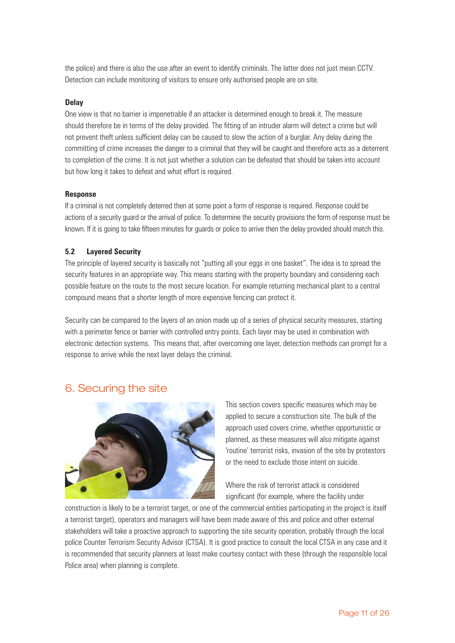the police) and there is also the use after an event to identify criminals. The latter does not just mean CCTV. Detection can include monitoring of visitors to ensure only authorised people are on site.

#### **Delay**

One view is that no barrier is impenetrable if an attacker is determined enough to break it. The measure should therefore be in terms of the delay provided. The fitting of an intruder alarm will detect a crime but will not prevent theft unless sufficient delay can be caused to slow the action of a burglar. Any delay during the committing of crime increases the danger to a criminal that they will be caught and therefore acts as a deterrent to completion of the crime. It is not just whether a solution can be defeated that should be taken into account but how long it takes to defeat and what effort is required.

#### **Response**

If a criminal is not completely deterred then at some point a form of response is required. Response could be actions of a security guard or the arrival of police. To determine the security provisions the form of response must be known. If it is going to take fifteen minutes for guards or police to arrive then the delay provided should match this.

### **5.2 Layered Security**

The principle of layered security is basically not "putting all your eggs in one basket". The idea is to spread the security features in an appropriate way. This means starting with the property boundary and considering each possible feature on the route to the most secure location. For example returning mechanical plant to a central compound means that a shorter length of more expensive fencing can protect it.

Security can be compared to the layers of an onion made up of a series of physical security measures, starting with a perimeter fence or barrier with controlled entry points. Each layer may be used in combination with electronic detection systems. This means that, after overcoming one layer, detection methods can prompt for a response to arrive while the next layer delays the criminal.

# 6. Securing the site



This section covers specific measures which may be applied to secure a construction site. The bulk of the approach used covers crime, whether opportunistic or planned, as these measures will also mitigate against 'routine' terrorist risks, invasion of the site by protestors or the need to exclude those intent on suicide.

Where the risk of terrorist attack is considered significant (for example, where the facility under

construction is likely to be a terrorist target, or one of the commercial entities participating in the project is itself a terrorist target), operators and managers will have been made aware of this and police and other external stakeholders will take a proactive approach to supporting the site security operation, probably through the local police Counter Terrorism Security Advisor (CTSA). It is good practice to consult the local CTSA in any case and it is recommended that security planners at least make courtesy contact with these (through the responsible local Police area) when planning is complete.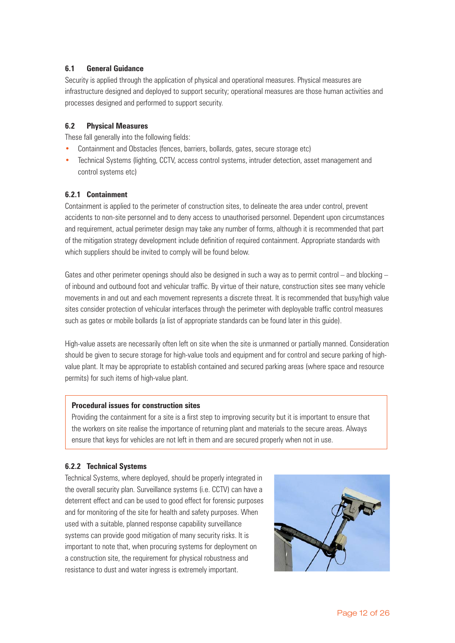### **6.1 General Guidance**

Security is applied through the application of physical and operational measures. Physical measures are infrastructure designed and deployed to support security; operational measures are those human activities and processes designed and performed to support security.

### **6.2 Physical Measures**

These fall generally into the following fields:

- Containment and Obstacles (fences, barriers, bollards, gates, secure storage etc)
- Technical Systems (lighting, CCTV, access control systems, intruder detection, asset management and control systems etc)

### **6.2.1 Containment**

Containment is applied to the perimeter of construction sites, to delineate the area under control, prevent accidents to non-site personnel and to deny access to unauthorised personnel. Dependent upon circumstances and requirement, actual perimeter design may take any number of forms, although it is recommended that part of the mitigation strategy development include definition of required containment. Appropriate standards with which suppliers should be invited to comply will be found below.

Gates and other perimeter openings should also be designed in such a way as to permit control – and blocking – of inbound and outbound foot and vehicular traffic. By virtue of their nature, construction sites see many vehicle movements in and out and each movement represents a discrete threat. It is recommended that busy/high value sites consider protection of vehicular interfaces through the perimeter with deployable traffic control measures such as gates or mobile bollards (a list of appropriate standards can be found later in this guide).

High-value assets are necessarily often left on site when the site is unmanned or partially manned. Consideration should be given to secure storage for high-value tools and equipment and for control and secure parking of highvalue plant. It may be appropriate to establish contained and secured parking areas (where space and resource permits) for such items of high-value plant.

#### **Procedural issues for construction sites**

Providing the containment for a site is a first step to improving security but it is important to ensure that the workers on site realise the importance of returning plant and materials to the secure areas. Always ensure that keys for vehicles are not left in them and are secured properly when not in use.

### **6.2.2 Technical Systems**

Technical Systems, where deployed, should be properly integrated in the overall security plan. Surveillance systems (i.e. CCTV) can have a deterrent effect and can be used to good effect for forensic purposes and for monitoring of the site for health and safety purposes. When used with a suitable, planned response capability surveillance systems can provide good mitigation of many security risks. It is important to note that, when procuring systems for deployment on a construction site, the requirement for physical robustness and resistance to dust and water ingress is extremely important.

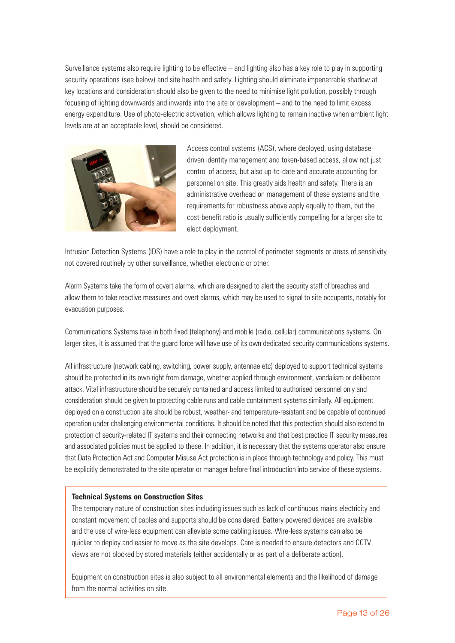Surveillance systems also require lighting to be effective – and lighting also has a key role to play in supporting security operations (see below) and site health and safety. Lighting should eliminate impenetrable shadow at key locations and consideration should also be given to the need to minimise light pollution, possibly through focusing of lighting downwards and inwards into the site or development – and to the need to limit excess energy expenditure. Use of photo-electric activation, which allows lighting to remain inactive when ambient light levels are at an acceptable level, should be considered.



Access control systems (ACS), where deployed, using databasedriven identity management and token-based access, allow not just control of access, but also up-to-date and accurate accounting for personnel on site. This greatly aids health and safety. There is an administrative overhead on management of these systems and the requirements for robustness above apply equally to them, but the cost-benefit ratio is usually sufficiently compelling for a larger site to elect deployment.

Intrusion Detection Systems (IDS) have a role to play in the control of perimeter segments or areas of sensitivity not covered routinely by other surveillance, whether electronic or other.

Alarm Systems take the form of covert alarms, which are designed to alert the security staff of breaches and allow them to take reactive measures and overt alarms, which may be used to signal to site occupants, notably for evacuation purposes.

Communications Systems take in both fixed (telephony) and mobile (radio, cellular) communications systems. On larger sites, it is assumed that the guard force will have use of its own dedicated security communications systems.

All infrastructure (network cabling, switching, power supply, antennae etc) deployed to support technical systems should be protected in its own right from damage, whether applied through environment, vandalism or deliberate attack. Vital infrastructure should be securely contained and access limited to authorised personnel only and consideration should be given to protecting cable runs and cable containment systems similarly. All equipment deployed on a construction site should be robust, weather- and temperature-resistant and be capable of continued operation under challenging environmental conditions. It should be noted that this protection should also extend to protection of security-related IT systems and their connecting networks and that best practice IT security measures and associated policies must be applied to these. In addition, it is necessary that the systems operator also ensure that Data Protection Act and Computer Misuse Act protection is in place through technology and policy. This must be explicitly demonstrated to the site operator or manager before final introduction into service of these systems.

#### **Technical Systems on Construction Sites**

The temporary nature of construction sites including issues such as lack of continuous mains electricity and constant movement of cables and supports should be considered. Battery powered devices are available and the use of wire-less equipment can alleviate some cabling issues. Wire-less systems can also be quicker to deploy and easier to move as the site develops. Care is needed to ensure detectors and CCTV views are not blocked by stored materials (either accidentally or as part of a deliberate action).

Equipment on construction sites is also subject to all environmental elements and the likelihood of damage from the normal activities on site.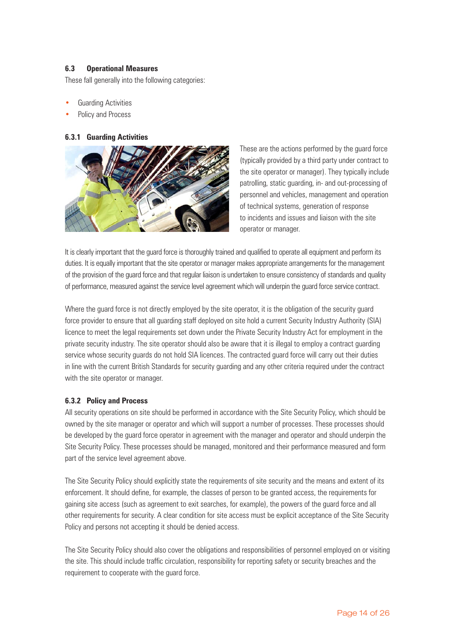### **6.3 Operational Measures**

These fall generally into the following categories:

- Guarding Activities
- Policy and Process

### **6.3.1 Guarding Activities**



These are the actions performed by the guard force (typically provided by a third party under contract to the site operator or manager). They typically include patrolling, static guarding, in- and out-processing of personnel and vehicles, management and operation of technical systems, generation of response to incidents and issues and liaison with the site operator or manager.

It is clearly important that the quard force is thoroughly trained and qualified to operate all equipment and perform its duties. It is equally important that the site operator or manager makes appropriate arrangements for the management of the provision of the guard force and that regular liaison is undertaken to ensure consistency of standards and quality of performance, measured against the service level agreement which will underpin the guard force service contract.

Where the guard force is not directly employed by the site operator, it is the obligation of the security guard force provider to ensure that all guarding staff deployed on site hold a current Security Industry Authority (SIA) licence to meet the legal requirements set down under the Private Security Industry Act for employment in the private security industry. The site operator should also be aware that it is illegal to employ a contract guarding service whose security guards do not hold SIA licences. The contracted guard force will carry out their duties in line with the current British Standards for security guarding and any other criteria required under the contract with the site operator or manager.

### **6.3.2 Policy and Process**

All security operations on site should be performed in accordance with the Site Security Policy, which should be owned by the site manager or operator and which will support a number of processes. These processes should be developed by the guard force operator in agreement with the manager and operator and should underpin the Site Security Policy. These processes should be managed, monitored and their performance measured and form part of the service level agreement above.

The Site Security Policy should explicitly state the requirements of site security and the means and extent of its enforcement. It should define, for example, the classes of person to be granted access, the requirements for gaining site access (such as agreement to exit searches, for example), the powers of the guard force and all other requirements for security. A clear condition for site access must be explicit acceptance of the Site Security Policy and persons not accepting it should be denied access.

The Site Security Policy should also cover the obligations and responsibilities of personnel employed on or visiting the site. This should include traffic circulation, responsibility for reporting safety or security breaches and the requirement to cooperate with the guard force.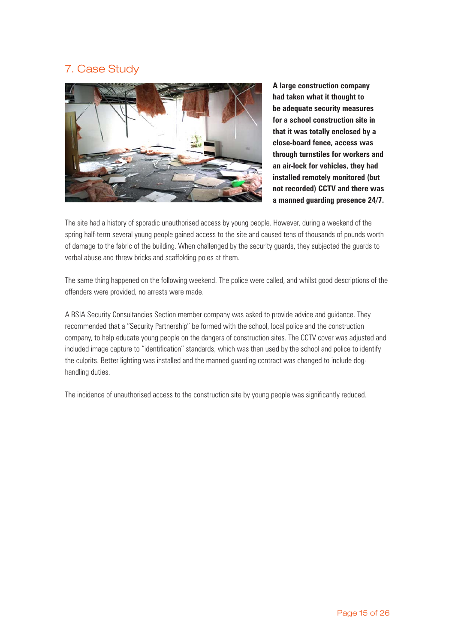# 7. Case Study



**A large construction company had taken what it thought to be adequate security measures for a school construction site in that it was totally enclosed by a close-board fence, access was through turnstiles for workers and an air-lock for vehicles, they had installed remotely monitored (but not recorded) CCTV and there was a manned guarding presence 24/7.**

The site had a history of sporadic unauthorised access by young people. However, during a weekend of the spring half-term several young people gained access to the site and caused tens of thousands of pounds worth of damage to the fabric of the building. When challenged by the security guards, they subjected the guards to verbal abuse and threw bricks and scaffolding poles at them.

The same thing happened on the following weekend. The police were called, and whilst good descriptions of the offenders were provided, no arrests were made.

A BSIA Security Consultancies Section member company was asked to provide advice and guidance. They recommended that a "Security Partnership" be formed with the school, local police and the construction company, to help educate young people on the dangers of construction sites. The CCTV cover was adjusted and included image capture to "identification" standards, which was then used by the school and police to identify the culprits. Better lighting was installed and the manned guarding contract was changed to include doghandling duties.

The incidence of unauthorised access to the construction site by young people was significantly reduced.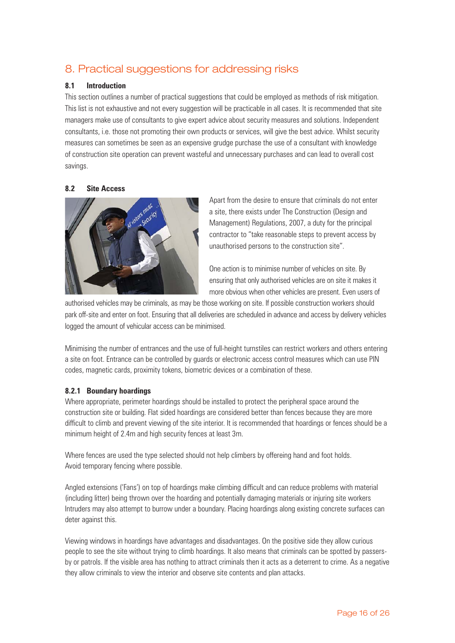# 8. Practical suggestions for addressing risks

### **8.1 Introduction**

This section outlines a number of practical suggestions that could be employed as methods of risk mitigation. This list is not exhaustive and not every suggestion will be practicable in all cases. It is recommended that site managers make use of consultants to give expert advice about security measures and solutions. Independent consultants, i.e. those not promoting their own products or services, will give the best advice. Whilst security measures can sometimes be seen as an expensive grudge purchase the use of a consultant with knowledge of construction site operation can prevent wasteful and unnecessary purchases and can lead to overall cost savings.

### **8.2 Site Access**



Apart from the desire to ensure that criminals do not enter a site, there exists under The Construction (Design and Management) Regulations, 2007, a duty for the principal contractor to "take reasonable steps to prevent access by unauthorised persons to the construction site".

One action is to minimise number of vehicles on site. By ensuring that only authorised vehicles are on site it makes it more obvious when other vehicles are present. Even users of

authorised vehicles may be criminals, as may be those working on site. If possible construction workers should park off-site and enter on foot. Ensuring that all deliveries are scheduled in advance and access by delivery vehicles logged the amount of vehicular access can be minimised.

Minimising the number of entrances and the use of full-height turnstiles can restrict workers and others entering a site on foot. Entrance can be controlled by guards or electronic access control measures which can use PIN codes, magnetic cards, proximity tokens, biometric devices or a combination of these.

### **8.2.1 Boundary hoardings**

Where appropriate, perimeter hoardings should be installed to protect the peripheral space around the construction site or building. Flat sided hoardings are considered better than fences because they are more difficult to climb and prevent viewing of the site interior. It is recommended that hoardings or fences should be a minimum height of 2.4m and high security fences at least 3m.

Where fences are used the type selected should not help climbers by offereing hand and foot holds. Avoid temporary fencing where possible.

Angled extensions ('Fans') on top of hoardings make climbing difficult and can reduce problems with material (including litter) being thrown over the hoarding and potentially damaging materials or injuring site workers Intruders may also attempt to burrow under a boundary. Placing hoardings along existing concrete surfaces can deter against this.

Viewing windows in hoardings have advantages and disadvantages. On the positive side they allow curious people to see the site without trying to climb hoardings. It also means that criminals can be spotted by passersby or patrols. If the visible area has nothing to attract criminals then it acts as a deterrent to crime. As a negative they allow criminals to view the interior and observe site contents and plan attacks.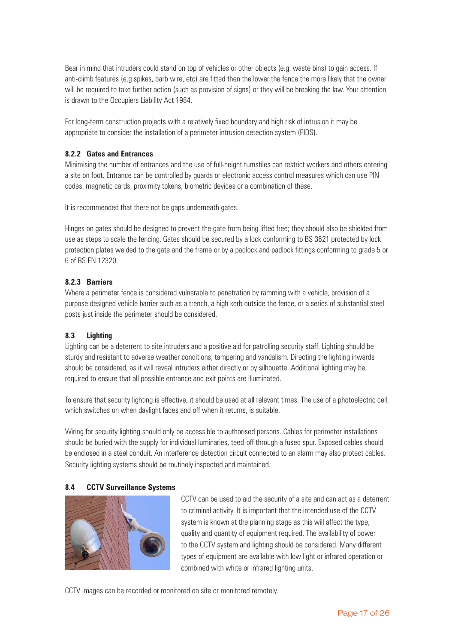Bear in mind that intruders could stand on top of vehicles or other objects (e.g. waste bins) to gain access. If anti-climb features (e.g spikes, barb wire, etc) are fitted then the lower the fence the more likely that the owner will be required to take further action (such as provision of signs) or they will be breaking the law. Your attention is drawn to the Occupiers Liability Act 1984.

For long-term construction projects with a relatively fixed boundary and high risk of intrusion it may be appropriate to consider the installation of a perimeter intrusion detection system (PIDS).

### **8.2.2 Gates and Entrances**

Minimising the number of entrances and the use of full-height turnstiles can restrict workers and others entering a site on foot. Entrance can be controlled by guards or electronic access control measures which can use PIN codes, magnetic cards, proximity tokens, biometric devices or a combination of these.

It is recommended that there not be gaps underneath gates.

Hinges on gates should be designed to prevent the gate from being lifted free; they should also be shielded from use as steps to scale the fencing. Gates should be secured by a lock conforming to BS 3621 protected by lock protection plates welded to the gate and the frame or by a padlock and padlock fittings conforming to grade 5 or 6 of BS EN 12320.

### **8.2.3 Barriers**

Where a perimeter fence is considered vulnerable to penetration by ramming with a vehicle, provision of a purpose designed vehicle barrier such as a trench, a high kerb outside the fence, or a series of substantial steel posts just inside the perimeter should be considered.

# **8.3 Lighting**

Lighting can be a deterrent to site intruders and a positive aid for patrolling security staff. Lighting should be sturdy and resistant to adverse weather conditions, tampering and vandalism. Directing the lighting inwards should be considered, as it will reveal intruders either directly or by silhouette. Additional lighting may be required to ensure that all possible entrance and exit points are illuminated.

To ensure that security lighting is effective, it should be used at all relevant times. The use of a photoelectric cell, which switches on when daylight fades and off when it returns, is suitable.

Wiring for security lighting should only be accessible to authorised persons. Cables for perimeter installations should be buried with the supply for individual luminaries, teed-off through a fused spur. Exposed cables should be enclosed in a steel conduit. An interference detection circuit connected to an alarm may also protect cables. Security lighting systems should be routinely inspected and maintained.

### **8.4 CCTV Surveillance Systems**



CCTV can be used to aid the security of a site and can act as a deterrent to criminal activity. It is important that the intended use of the CCTV system is known at the planning stage as this will affect the type, quality and quantity of equipment required. The availability of power to the CCTV system and lighting should be considered. Many different types of equipment are available with low light or infrared operation or combined with white or infrared lighting units.

CCTV images can be recorded or monitored on site or monitored remotely.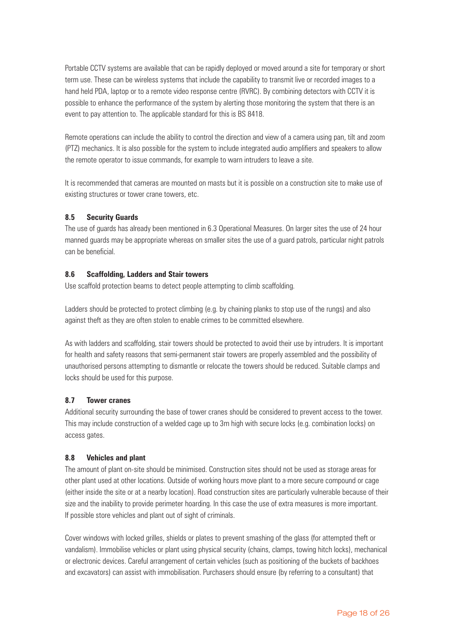Portable CCTV systems are available that can be rapidly deployed or moved around a site for temporary or short term use. These can be wireless systems that include the capability to transmit live or recorded images to a hand held PDA, laptop or to a remote video response centre (RVRC). By combining detectors with CCTV it is possible to enhance the performance of the system by alerting those monitoring the system that there is an event to pay attention to. The applicable standard for this is BS 8418.

Remote operations can include the ability to control the direction and view of a camera using pan, tilt and zoom (PTZ) mechanics. It is also possible for the system to include integrated audio amplifiers and speakers to allow the remote operator to issue commands, for example to warn intruders to leave a site.

It is recommended that cameras are mounted on masts but it is possible on a construction site to make use of existing structures or tower crane towers, etc.

### **8.5 Security Guards**

The use of guards has already been mentioned in 6.3 Operational Measures. On larger sites the use of 24 hour manned guards may be appropriate whereas on smaller sites the use of a guard patrols, particular night patrols can be beneficial.

#### **8.6 Scaffolding, Ladders and Stair towers**

Use scaffold protection beams to detect people attempting to climb scaffolding.

Ladders should be protected to protect climbing (e.g. by chaining planks to stop use of the rungs) and also against theft as they are often stolen to enable crimes to be committed elsewhere.

As with ladders and scaffolding, stair towers should be protected to avoid their use by intruders. It is important for health and safety reasons that semi-permanent stair towers are properly assembled and the possibility of unauthorised persons attempting to dismantle or relocate the towers should be reduced. Suitable clamps and locks should be used for this purpose.

#### **8.7 Tower cranes**

Additional security surrounding the base of tower cranes should be considered to prevent access to the tower. This may include construction of a welded cage up to 3m high with secure locks (e.g. combination locks) on access gates.

#### **8.8 Vehicles and plant**

The amount of plant on-site should be minimised. Construction sites should not be used as storage areas for other plant used at other locations. Outside of working hours move plant to a more secure compound or cage (either inside the site or at a nearby location). Road construction sites are particularly vulnerable because of their size and the inability to provide perimeter hoarding. In this case the use of extra measures is more important. If possible store vehicles and plant out of sight of criminals.

Cover windows with locked grilles, shields or plates to prevent smashing of the glass (for attempted theft or vandalism). Immobilise vehicles or plant using physical security (chains, clamps, towing hitch locks), mechanical or electronic devices. Careful arrangement of certain vehicles (such as positioning of the buckets of backhoes and excavators) can assist with immobilisation. Purchasers should ensure (by referring to a consultant) that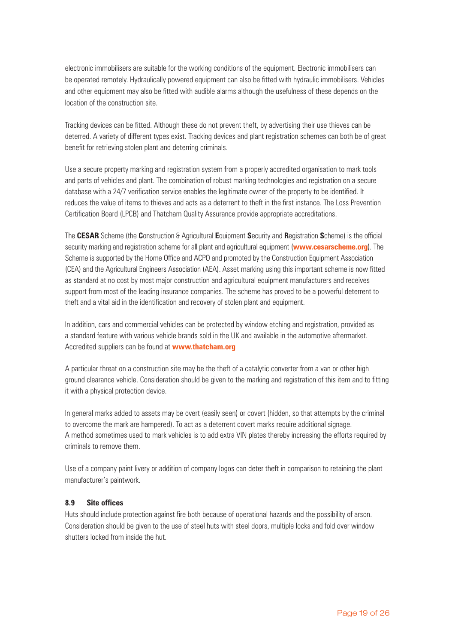electronic immobilisers are suitable for the working conditions of the equipment. Electronic immobilisers can be operated remotely. Hydraulically powered equipment can also be fitted with hydraulic immobilisers. Vehicles and other equipment may also be fitted with audible alarms although the usefulness of these depends on the location of the construction site.

Tracking devices can be fitted. Although these do not prevent theft, by advertising their use thieves can be deterred. A variety of different types exist. Tracking devices and plant registration schemes can both be of great benefit for retrieving stolen plant and deterring criminals.

Use a secure property marking and registration system from a properly accredited organisation to mark tools and parts of vehicles and plant. The combination of robust marking technologies and registration on a secure database with a 24/7 verification service enables the legitimate owner of the property to be identified. It reduces the value of items to thieves and acts as a deterrent to theft in the first instance. The Loss Prevention Certification Board (LPCB) and Thatcham Quality Assurance provide appropriate accreditations.

The **CESAR** Scheme (the **C**onstruction & Agricultural **E**quipment **S**ecurity and **R**egistration **S**cheme) is the official security marking and registration scheme for all plant and agricultural equipment (**www.cesarscheme.org**). The Scheme is supported by the Home Office and ACPO and promoted by the Construction Equipment Association (CEA) and the Agricultural Engineers Association (AEA). Asset marking using this important scheme is now fitted as standard at no cost by most major construction and agricultural equipment manufacturers and receives support from most of the leading insurance companies. The scheme has proved to be a powerful deterrent to theft and a vital aid in the identification and recovery of stolen plant and equipment.

In addition, cars and commercial vehicles can be protected by window etching and registration, provided as a standard feature with various vehicle brands sold in the UK and available in the automotive aftermarket. Accredited suppliers can be found at **www.thatcham.org**

A particular threat on a construction site may be the theft of a catalytic converter from a van or other high ground clearance vehicle. Consideration should be given to the marking and registration of this item and to fitting it with a physical protection device.

In general marks added to assets may be overt (easily seen) or covert (hidden, so that attempts by the criminal to overcome the mark are hampered). To act as a deterrent covert marks require additional signage. A method sometimes used to mark vehicles is to add extra VIN plates thereby increasing the efforts required by criminals to remove them.

Use of a company paint livery or addition of company logos can deter theft in comparison to retaining the plant manufacturer's paintwork.

### **8.9 Site offices**

Huts should include protection against fire both because of operational hazards and the possibility of arson. Consideration should be given to the use of steel huts with steel doors, multiple locks and fold over window shutters locked from inside the hut.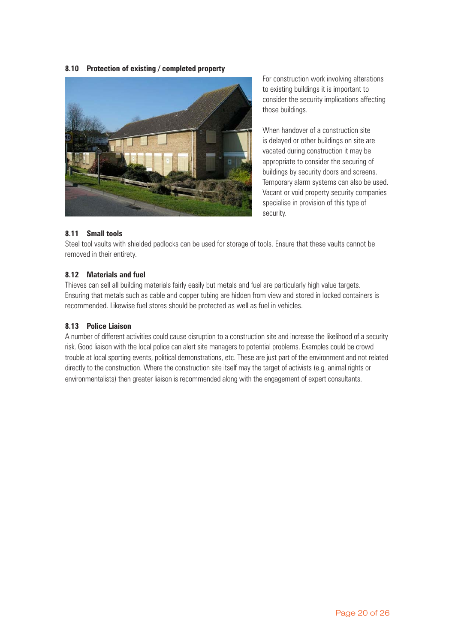#### **8.10 Protection of existing / completed property**



For construction work involving alterations to existing buildings it is important to consider the security implications affecting those buildings.

When handover of a construction site is delayed or other buildings on site are vacated during construction it may be appropriate to consider the securing of buildings by security doors and screens. Temporary alarm systems can also be used. Vacant or void property security companies specialise in provision of this type of security.

#### **8.11 Small tools**

Steel tool vaults with shielded padlocks can be used for storage of tools. Ensure that these vaults cannot be removed in their entirety.

### **8.12 Materials and fuel**

Thieves can sell all building materials fairly easily but metals and fuel are particularly high value targets. Ensuring that metals such as cable and copper tubing are hidden from view and stored in locked containers is recommended. Likewise fuel stores should be protected as well as fuel in vehicles.

#### **8.13 Police Liaison**

A number of different activities could cause disruption to a construction site and increase the likelihood of a security risk. Good liaison with the local police can alert site managers to potential problems. Examples could be crowd trouble at local sporting events, political demonstrations, etc. These are just part of the environment and not related directly to the construction. Where the construction site itself may the target of activists (e.g. animal rights or environmentalists) then greater liaison is recommended along with the engagement of expert consultants.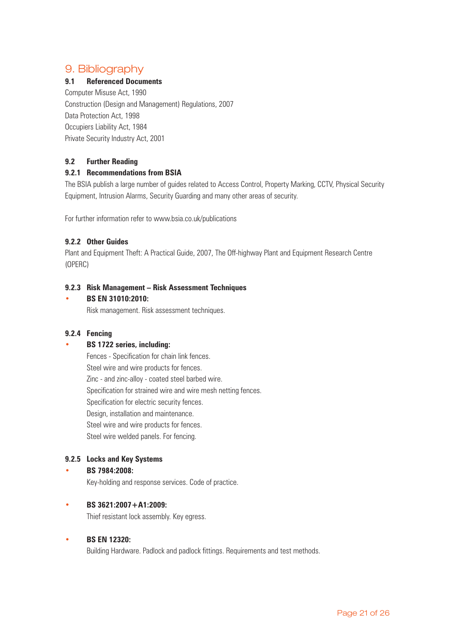# 9. Bibliography

# **9.1 Referenced Documents**

Computer Misuse Act, 1990 Construction (Design and Management) Regulations, 2007 Data Protection Act, 1998 Occupiers Liability Act, 1984 Private Security Industry Act, 2001

# **9.2 Further Reading**

# **9.2.1 Recommendations from BSIA**

The BSIA publish a large number of guides related to Access Control, Property Marking, CCTV, Physical Security Equipment, Intrusion Alarms, Security Guarding and many other areas of security.

For further information refer to www.bsia.co.uk/publications

# **9.2.2 Other Guides**

Plant and Equipment Theft: A Practical Guide, 2007, The Off-highway Plant and Equipment Research Centre (OPERC)

### **9.2.3 Risk Management – Risk Assessment Techniques**

### • **BS EN 31010:2010:**

Risk management. Risk assessment techniques.

### **9.2.4 Fencing**

### • **BS 1722 series, including:**

Fences - Specification for chain link fences. Steel wire and wire products for fences. Zinc - and zinc-alloy - coated steel barbed wire. Specification for strained wire and wire mesh netting fences. Specification for electric security fences. Design, installation and maintenance. Steel wire and wire products for fences. Steel wire welded panels. For fencing.

# **9.2.5 Locks and Key Systems**

### • **BS 7984:2008:**

Key-holding and response services. Code of practice.

### • **BS 3621:2007+A1:2009:**

Thief resistant lock assembly. Key egress.

### • **BS EN 12320:**

Building Hardware. Padlock and padlock fittings. Requirements and test methods.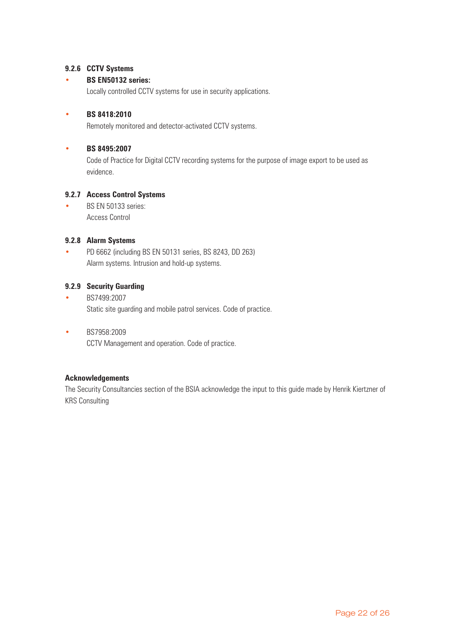# **9.2.6 CCTV Systems**

### • **BS EN50132 series:**

Locally controlled CCTV systems for use in security applications.

### • **BS 8418:2010**

Remotely monitored and detector-activated CCTV systems.

### • **BS 8495:2007**

Code of Practice for Digital CCTV recording systems for the purpose of image export to be used as evidence.

### **9.2.7 Access Control Systems**

• BS EN 50133 series: Access Control

### **9.2.8 Alarm Systems**

• PD 6662 (including BS EN 50131 series, BS 8243, DD 263) Alarm systems. Intrusion and hold-up systems.

### **9.2.9 Security Guarding**

- BS7499:2007 Static site guarding and mobile patrol services. Code of practice.
- BS7958:2009 CCTV Management and operation. Code of practice.

### **Acknowledgements**

The Security Consultancies section of the BSIA acknowledge the input to this guide made by Henrik Kiertzner of KRS Consulting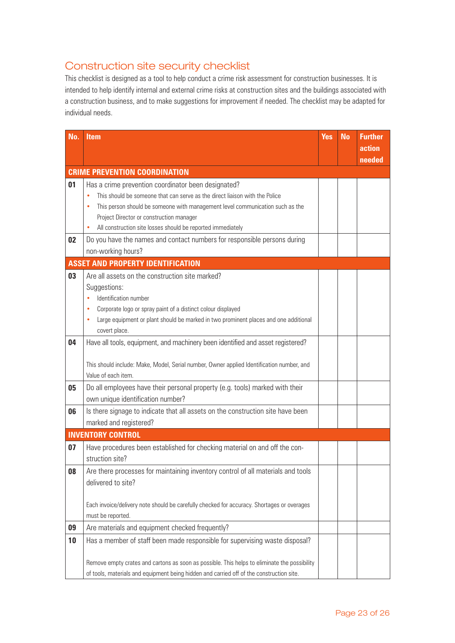# Construction site security checklist

This checklist is designed as a tool to help conduct a crime risk assessment for construction businesses. It is intended to help identify internal and external crime risks at construction sites and the buildings associated with a construction business, and to make suggestions for improvement if needed. The checklist may be adapted for individual needs.

| No. | <b>Item</b>                                                                                                                                                    | <b>Yes</b> | <b>No</b> | <b>Further</b> |
|-----|----------------------------------------------------------------------------------------------------------------------------------------------------------------|------------|-----------|----------------|
|     |                                                                                                                                                                |            |           | action         |
|     | <b>CRIME PREVENTION COORDINATION</b>                                                                                                                           |            |           | needed         |
| 01  | Has a crime prevention coordinator been designated?                                                                                                            |            |           |                |
|     | This should be someone that can serve as the direct liaison with the Police<br>$\bullet$                                                                       |            |           |                |
|     | This person should be someone with management level communication such as the<br>٠                                                                             |            |           |                |
|     | Project Director or construction manager                                                                                                                       |            |           |                |
|     | All construction site losses should be reported immediately                                                                                                    |            |           |                |
| 02  | Do you have the names and contact numbers for responsible persons during                                                                                       |            |           |                |
|     | non-working hours?                                                                                                                                             |            |           |                |
|     | <b>ASSET AND PROPERTY IDENTIFICATION</b>                                                                                                                       |            |           |                |
| 03  | Are all assets on the construction site marked?                                                                                                                |            |           |                |
|     | Suggestions:                                                                                                                                                   |            |           |                |
|     | Identification number                                                                                                                                          |            |           |                |
|     | Corporate logo or spray paint of a distinct colour displayed<br>٠<br>Large equipment or plant should be marked in two prominent places and one additional<br>۰ |            |           |                |
|     | covert place.                                                                                                                                                  |            |           |                |
| 04  | Have all tools, equipment, and machinery been identified and asset registered?                                                                                 |            |           |                |
|     |                                                                                                                                                                |            |           |                |
|     | This should include: Make, Model, Serial number, Owner applied Identification number, and                                                                      |            |           |                |
|     | Value of each item.                                                                                                                                            |            |           |                |
| 05  | Do all employees have their personal property (e.g. tools) marked with their                                                                                   |            |           |                |
|     | own unique identification number?                                                                                                                              |            |           |                |
| 06  | Is there signage to indicate that all assets on the construction site have been                                                                                |            |           |                |
|     | marked and registered?                                                                                                                                         |            |           |                |
|     | <b>INVENTORY CONTROL</b>                                                                                                                                       |            |           |                |
| 07  | Have procedures been established for checking material on and off the con-                                                                                     |            |           |                |
|     | struction site?                                                                                                                                                |            |           |                |
| 08  | Are there processes for maintaining inventory control of all materials and tools                                                                               |            |           |                |
|     | delivered to site?                                                                                                                                             |            |           |                |
|     |                                                                                                                                                                |            |           |                |
|     | Each invoice/delivery note should be carefully checked for accuracy. Shortages or overages                                                                     |            |           |                |
|     | must be reported.                                                                                                                                              |            |           |                |
| 09  | Are materials and equipment checked frequently?                                                                                                                |            |           |                |
| 10  | Has a member of staff been made responsible for supervising waste disposal?                                                                                    |            |           |                |
|     |                                                                                                                                                                |            |           |                |
|     | Remove empty crates and cartons as soon as possible. This helps to eliminate the possibility                                                                   |            |           |                |
|     | of tools, materials and equipment being hidden and carried off of the construction site.                                                                       |            |           |                |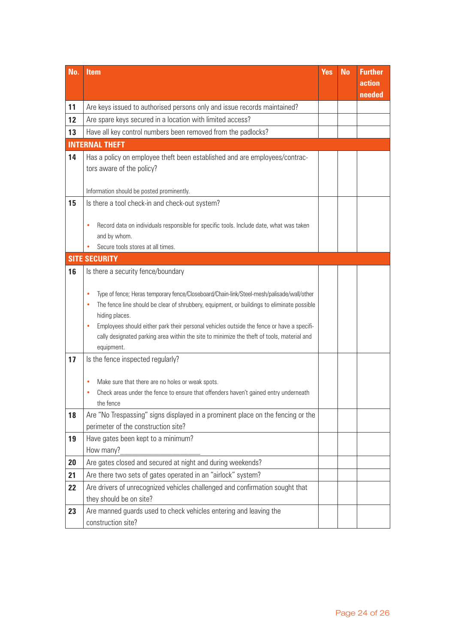| No. | <b>Item</b>                                                                                                                                                                                  | <b>Yes</b> | <b>No</b> | <b>Further</b> |
|-----|----------------------------------------------------------------------------------------------------------------------------------------------------------------------------------------------|------------|-----------|----------------|
|     |                                                                                                                                                                                              |            |           | action         |
| 11  | Are keys issued to authorised persons only and issue records maintained?                                                                                                                     |            |           | needed         |
|     |                                                                                                                                                                                              |            |           |                |
| 12  | Are spare keys secured in a location with limited access?                                                                                                                                    |            |           |                |
| 13  | Have all key control numbers been removed from the padlocks?                                                                                                                                 |            |           |                |
|     | <b>INTERNAL THEFT</b>                                                                                                                                                                        |            |           |                |
| 14  | Has a policy on employee theft been established and are employees/contrac-                                                                                                                   |            |           |                |
|     | tors aware of the policy?                                                                                                                                                                    |            |           |                |
|     | Information should be posted prominently.                                                                                                                                                    |            |           |                |
| 15  | Is there a tool check-in and check-out system?                                                                                                                                               |            |           |                |
|     |                                                                                                                                                                                              |            |           |                |
|     | Record data on individuals responsible for specific tools. Include date, what was taken<br>۰                                                                                                 |            |           |                |
|     | and by whom.                                                                                                                                                                                 |            |           |                |
|     | Secure tools stores at all times.                                                                                                                                                            |            |           |                |
|     | <b>SITE SECURITY</b>                                                                                                                                                                         |            |           |                |
| 16  | Is there a security fence/boundary                                                                                                                                                           |            |           |                |
|     |                                                                                                                                                                                              |            |           |                |
|     | Type of fence; Heras temporary fence/Closeboard/Chain-link/Steel-mesh/palisade/wall/other<br>۰                                                                                               |            |           |                |
|     | The fence line should be clear of shrubbery, equipment, or buildings to eliminate possible<br>۰                                                                                              |            |           |                |
|     | hiding places.                                                                                                                                                                               |            |           |                |
|     | Employees should either park their personal vehicles outside the fence or have a specifi-<br>۰<br>cally designated parking area within the site to minimize the theft of tools, material and |            |           |                |
|     | equipment.                                                                                                                                                                                   |            |           |                |
| 17  | Is the fence inspected regularly?                                                                                                                                                            |            |           |                |
|     |                                                                                                                                                                                              |            |           |                |
|     | Make sure that there are no holes or weak spots.<br>٠                                                                                                                                        |            |           |                |
|     | Check areas under the fence to ensure that offenders haven't gained entry underneath                                                                                                         |            |           |                |
|     | the fence                                                                                                                                                                                    |            |           |                |
| 18  | Are "No Trespassing" signs displayed in a prominent place on the fencing or the                                                                                                              |            |           |                |
|     | perimeter of the construction site?                                                                                                                                                          |            |           |                |
| 19  | Have gates been kept to a minimum?                                                                                                                                                           |            |           |                |
|     | How many?                                                                                                                                                                                    |            |           |                |
| 20  | Are gates closed and secured at night and during weekends?                                                                                                                                   |            |           |                |
| 21  | Are there two sets of gates operated in an "airlock" system?                                                                                                                                 |            |           |                |
| 22  | Are drivers of unrecognized vehicles challenged and confirmation sought that                                                                                                                 |            |           |                |
|     | they should be on site?                                                                                                                                                                      |            |           |                |
| 23  | Are manned guards used to check vehicles entering and leaving the                                                                                                                            |            |           |                |
|     | construction site?                                                                                                                                                                           |            |           |                |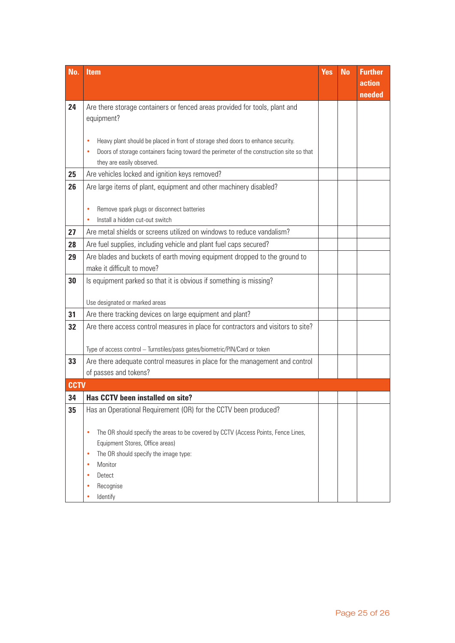| No.         | <b>Item</b>                                                                                           | <b>Yes</b> | <b>No</b> | <b>Further</b><br>action |
|-------------|-------------------------------------------------------------------------------------------------------|------------|-----------|--------------------------|
|             |                                                                                                       |            |           | needed                   |
| 24          | Are there storage containers or fenced areas provided for tools, plant and                            |            |           |                          |
|             | equipment?                                                                                            |            |           |                          |
|             |                                                                                                       |            |           |                          |
|             | Heavy plant should be placed in front of storage shed doors to enhance security.<br>$\bullet$         |            |           |                          |
|             | Doors of storage containers facing toward the perimeter of the construction site so that<br>$\bullet$ |            |           |                          |
| 25          | they are easily observed.                                                                             |            |           |                          |
|             | Are vehicles locked and ignition keys removed?                                                        |            |           |                          |
| 26          | Are large items of plant, equipment and other machinery disabled?                                     |            |           |                          |
|             | Remove spark plugs or disconnect batteries<br>$\bullet$                                               |            |           |                          |
|             | Install a hidden cut-out switch                                                                       |            |           |                          |
| 27          | Are metal shields or screens utilized on windows to reduce vandalism?                                 |            |           |                          |
| 28          | Are fuel supplies, including vehicle and plant fuel caps secured?                                     |            |           |                          |
| 29          | Are blades and buckets of earth moving equipment dropped to the ground to                             |            |           |                          |
|             | make it difficult to move?                                                                            |            |           |                          |
| 30          | Is equipment parked so that it is obvious if something is missing?                                    |            |           |                          |
|             |                                                                                                       |            |           |                          |
|             | Use designated or marked areas                                                                        |            |           |                          |
| 31          | Are there tracking devices on large equipment and plant?                                              |            |           |                          |
| 32          | Are there access control measures in place for contractors and visitors to site?                      |            |           |                          |
|             |                                                                                                       |            |           |                          |
|             | Type of access control - Turnstiles/pass gates/biometric/PIN/Card or token                            |            |           |                          |
| 33          | Are there adequate control measures in place for the management and control                           |            |           |                          |
|             | of passes and tokens?                                                                                 |            |           |                          |
| <b>CCTV</b> |                                                                                                       |            |           |                          |
| 34          | Has CCTV been installed on site?                                                                      |            |           |                          |
| 35          | Has an Operational Requirement (OR) for the CCTV been produced?                                       |            |           |                          |
|             | The OR should specify the areas to be covered by CCTV (Access Points, Fence Lines,<br>٠               |            |           |                          |
|             | Equipment Stores, Office areas)                                                                       |            |           |                          |
|             | The OR should specify the image type:<br>٠                                                            |            |           |                          |
|             | Monitor<br>$\bullet$                                                                                  |            |           |                          |
|             | Detect<br>$\bullet$                                                                                   |            |           |                          |
|             | Recognise<br>٠                                                                                        |            |           |                          |
|             | Identify<br>٠                                                                                         |            |           |                          |